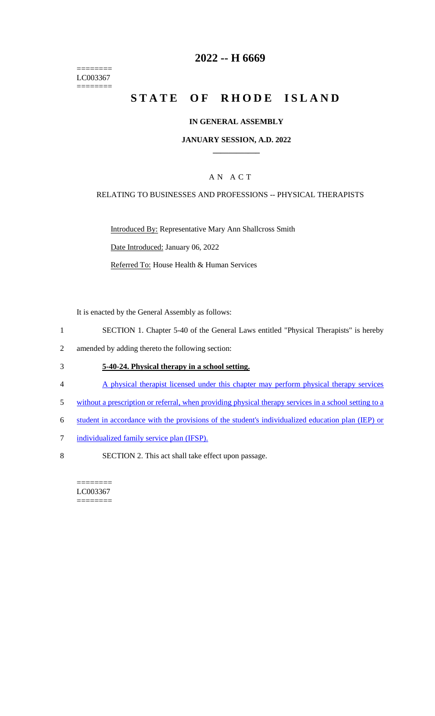======== LC003367 ========

# **2022 -- H 6669**

# **STATE OF RHODE ISLAND**

## **IN GENERAL ASSEMBLY**

## **JANUARY SESSION, A.D. 2022 \_\_\_\_\_\_\_\_\_\_\_\_**

# A N A C T

### RELATING TO BUSINESSES AND PROFESSIONS -- PHYSICAL THERAPISTS

Introduced By: Representative Mary Ann Shallcross Smith Date Introduced: January 06, 2022

Referred To: House Health & Human Services

It is enacted by the General Assembly as follows:

- 1 SECTION 1. Chapter 5-40 of the General Laws entitled "Physical Therapists" is hereby
- 2 amended by adding thereto the following section:

# 3 **5-40-24. Physical therapy in a school setting.**

- 4 A physical therapist licensed under this chapter may perform physical therapy services
- 5 without a prescription or referral, when providing physical therapy services in a school setting to a
- 6 student in accordance with the provisions of the student's individualized education plan (IEP) or
- 7 individualized family service plan (IFSP).
- 8 SECTION 2. This act shall take effect upon passage.

======== LC003367 ========